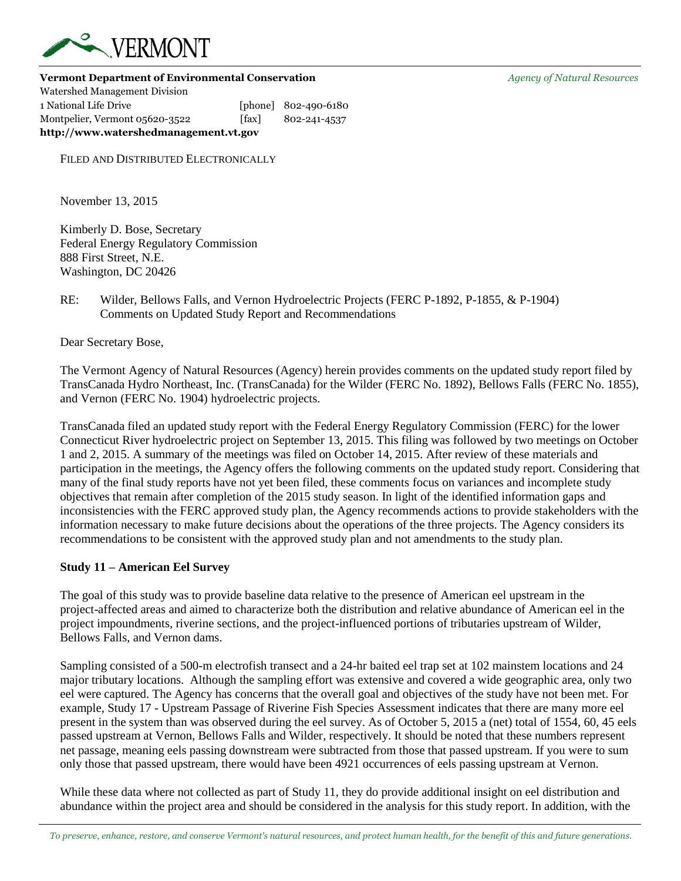

**Vermont Department of Environmental Conservation** *Agency of Natural Resources*

Watershed Management Division 1 National Life Drive [phone] 802-490-6180 Montpelier, Vermont 05620-3522 [fax] 802-241-4537 **http://www.watershedmanagement.vt.gov**

FILED AND DISTRIBUTED ELECTRONICALLY

November 13, 2015

Kimberly D. Bose, Secretary Federal Energy Regulatory Commission 888 First Street, N.E. Washington, DC 20426

# RE: Wilder, Bellows Falls, and Vernon Hydroelectric Projects (FERC P-1892, P-1855, & P-1904) Comments on Updated Study Report and Recommendations

Dear Secretary Bose,

The Vermont Agency of Natural Resources (Agency) herein provides comments on the updated study report filed by TransCanada Hydro Northeast, Inc. (TransCanada) for the Wilder (FERC No. 1892), Bellows Falls (FERC No. 1855), and Vernon (FERC No. 1904) hydroelectric projects.

TransCanada filed an updated study report with the Federal Energy Regulatory Commission (FERC) for the lower Connecticut River hydroelectric project on September 13, 2015. This filing was followed by two meetings on October 1 and 2, 2015. A summary of the meetings was filed on October 14, 2015. After review of these materials and participation in the meetings, the Agency offers the following comments on the updated study report. Considering that many of the final study reports have not yet been filed, these comments focus on variances and incomplete study objectives that remain after completion of the 2015 study season. In light of the identified information gaps and inconsistencies with the FERC approved study plan, the Agency recommends actions to provide stakeholders with the information necessary to make future decisions about the operations of the three projects. The Agency considers its recommendations to be consistent with the approved study plan and not amendments to the study plan.

## **Study 11 – American Eel Survey**

The goal of this study was to provide baseline data relative to the presence of American eel upstream in the project-affected areas and aimed to characterize both the distribution and relative abundance of American eel in the project impoundments, riverine sections, and the project-influenced portions of tributaries upstream of Wilder, Bellows Falls, and Vernon dams.

Sampling consisted of a 500-m electrofish transect and a 24-hr baited eel trap set at 102 mainstem locations and 24 major tributary locations. Although the sampling effort was extensive and covered a wide geographic area, only two eel were captured. The Agency has concerns that the overall goal and objectives of the study have not been met. For example, Study 17 - Upstream Passage of Riverine Fish Species Assessment indicates that there are many more eel present in the system than was observed during the eel survey. As of October 5, 2015 a (net) total of 1554, 60, 45 eels passed upstream at Vernon, Bellows Falls and Wilder, respectively. It should be noted that these numbers represent net passage, meaning eels passing downstream were subtracted from those that passed upstream. If you were to sum only those that passed upstream, there would have been 4921 occurrences of eels passing upstream at Vernon.

While these data where not collected as part of Study 11, they do provide additional insight on eel distribution and abundance within the project area and should be considered in the analysis for this study report. In addition, with the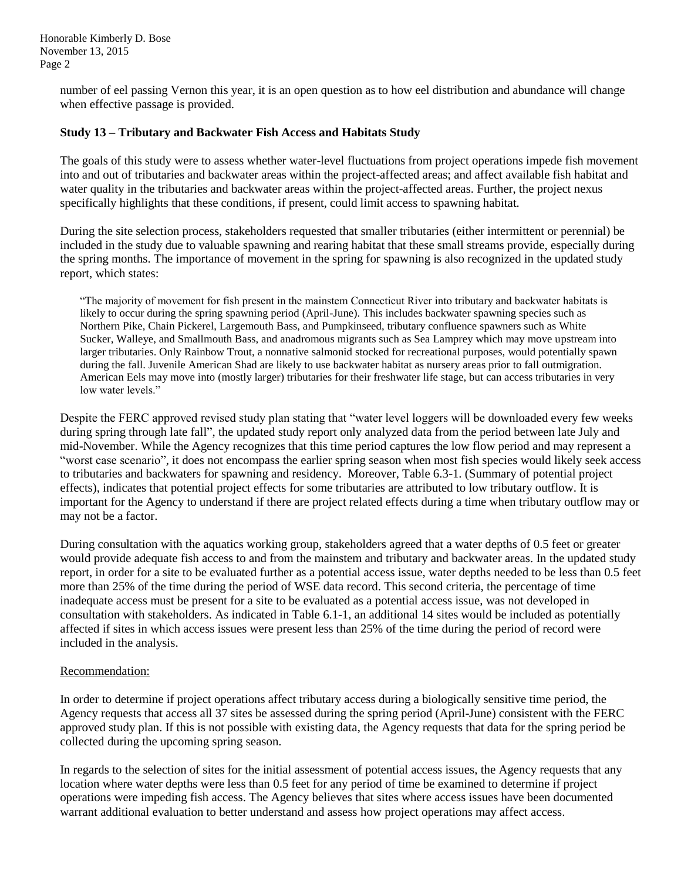Honorable Kimberly D. Bose November 13, 2015 Page 2

> number of eel passing Vernon this year, it is an open question as to how eel distribution and abundance will change when effective passage is provided.

### **Study 13 – Tributary and Backwater Fish Access and Habitats Study**

The goals of this study were to assess whether water-level fluctuations from project operations impede fish movement into and out of tributaries and backwater areas within the project-affected areas; and affect available fish habitat and water quality in the tributaries and backwater areas within the project-affected areas. Further, the project nexus specifically highlights that these conditions, if present, could limit access to spawning habitat.

During the site selection process, stakeholders requested that smaller tributaries (either intermittent or perennial) be included in the study due to valuable spawning and rearing habitat that these small streams provide, especially during the spring months. The importance of movement in the spring for spawning is also recognized in the updated study report, which states:

"The majority of movement for fish present in the mainstem Connecticut River into tributary and backwater habitats is likely to occur during the spring spawning period (April-June). This includes backwater spawning species such as Northern Pike, Chain Pickerel, Largemouth Bass, and Pumpkinseed, tributary confluence spawners such as White Sucker, Walleye, and Smallmouth Bass, and anadromous migrants such as Sea Lamprey which may move upstream into larger tributaries. Only Rainbow Trout, a nonnative salmonid stocked for recreational purposes, would potentially spawn during the fall. Juvenile American Shad are likely to use backwater habitat as nursery areas prior to fall outmigration. American Eels may move into (mostly larger) tributaries for their freshwater life stage, but can access tributaries in very low water levels."

Despite the FERC approved revised study plan stating that "water level loggers will be downloaded every few weeks during spring through late fall", the updated study report only analyzed data from the period between late July and mid-November. While the Agency recognizes that this time period captures the low flow period and may represent a "worst case scenario", it does not encompass the earlier spring season when most fish species would likely seek access to tributaries and backwaters for spawning and residency. Moreover, Table 6.3-1. (Summary of potential project effects), indicates that potential project effects for some tributaries are attributed to low tributary outflow. It is important for the Agency to understand if there are project related effects during a time when tributary outflow may or may not be a factor.

During consultation with the aquatics working group, stakeholders agreed that a water depths of 0.5 feet or greater would provide adequate fish access to and from the mainstem and tributary and backwater areas. In the updated study report, in order for a site to be evaluated further as a potential access issue, water depths needed to be less than 0.5 feet more than 25% of the time during the period of WSE data record. This second criteria, the percentage of time inadequate access must be present for a site to be evaluated as a potential access issue, was not developed in consultation with stakeholders. As indicated in Table 6.1-1, an additional 14 sites would be included as potentially affected if sites in which access issues were present less than 25% of the time during the period of record were included in the analysis.

#### Recommendation:

In order to determine if project operations affect tributary access during a biologically sensitive time period, the Agency requests that access all 37 sites be assessed during the spring period (April-June) consistent with the FERC approved study plan. If this is not possible with existing data, the Agency requests that data for the spring period be collected during the upcoming spring season.

In regards to the selection of sites for the initial assessment of potential access issues, the Agency requests that any location where water depths were less than 0.5 feet for any period of time be examined to determine if project operations were impeding fish access. The Agency believes that sites where access issues have been documented warrant additional evaluation to better understand and assess how project operations may affect access.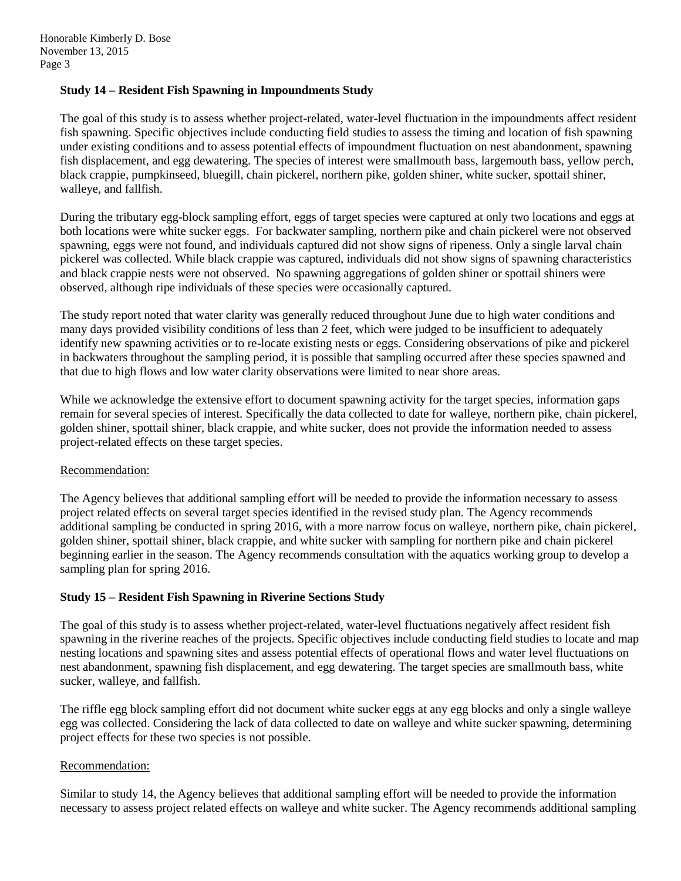### **Study 14 – Resident Fish Spawning in Impoundments Study**

The goal of this study is to assess whether project-related, water-level fluctuation in the impoundments affect resident fish spawning. Specific objectives include conducting field studies to assess the timing and location of fish spawning under existing conditions and to assess potential effects of impoundment fluctuation on nest abandonment, spawning fish displacement, and egg dewatering. The species of interest were smallmouth bass, largemouth bass, yellow perch, black crappie, pumpkinseed, bluegill, chain pickerel, northern pike, golden shiner, white sucker, spottail shiner, walleye, and fallfish.

During the tributary egg-block sampling effort, eggs of target species were captured at only two locations and eggs at both locations were white sucker eggs. For backwater sampling, northern pike and chain pickerel were not observed spawning, eggs were not found, and individuals captured did not show signs of ripeness. Only a single larval chain pickerel was collected. While black crappie was captured, individuals did not show signs of spawning characteristics and black crappie nests were not observed. No spawning aggregations of golden shiner or spottail shiners were observed, although ripe individuals of these species were occasionally captured.

The study report noted that water clarity was generally reduced throughout June due to high water conditions and many days provided visibility conditions of less than 2 feet, which were judged to be insufficient to adequately identify new spawning activities or to re-locate existing nests or eggs. Considering observations of pike and pickerel in backwaters throughout the sampling period, it is possible that sampling occurred after these species spawned and that due to high flows and low water clarity observations were limited to near shore areas.

While we acknowledge the extensive effort to document spawning activity for the target species, information gaps remain for several species of interest. Specifically the data collected to date for walleye, northern pike, chain pickerel, golden shiner, spottail shiner, black crappie, and white sucker, does not provide the information needed to assess project-related effects on these target species.

## Recommendation:

The Agency believes that additional sampling effort will be needed to provide the information necessary to assess project related effects on several target species identified in the revised study plan. The Agency recommends additional sampling be conducted in spring 2016, with a more narrow focus on walleye, northern pike, chain pickerel, golden shiner, spottail shiner, black crappie, and white sucker with sampling for northern pike and chain pickerel beginning earlier in the season. The Agency recommends consultation with the aquatics working group to develop a sampling plan for spring 2016.

## **Study 15 – Resident Fish Spawning in Riverine Sections Study**

The goal of this study is to assess whether project-related, water-level fluctuations negatively affect resident fish spawning in the riverine reaches of the projects. Specific objectives include conducting field studies to locate and map nesting locations and spawning sites and assess potential effects of operational flows and water level fluctuations on nest abandonment, spawning fish displacement, and egg dewatering. The target species are smallmouth bass, white sucker, walleye, and fallfish.

The riffle egg block sampling effort did not document white sucker eggs at any egg blocks and only a single walleye egg was collected. Considering the lack of data collected to date on walleye and white sucker spawning, determining project effects for these two species is not possible.

#### Recommendation:

Similar to study 14, the Agency believes that additional sampling effort will be needed to provide the information necessary to assess project related effects on walleye and white sucker. The Agency recommends additional sampling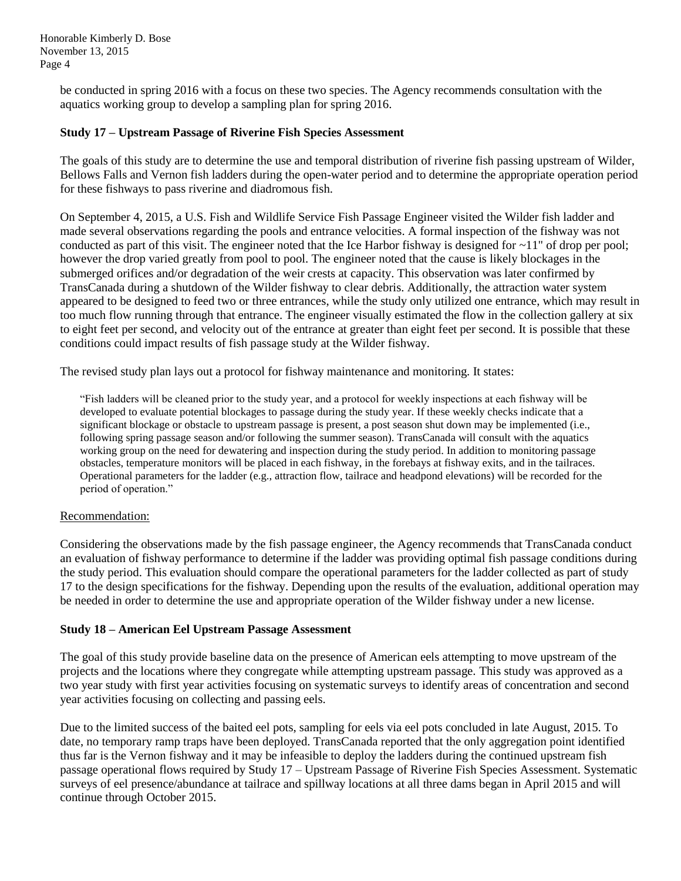Honorable Kimberly D. Bose November 13, 2015 Page 4

> be conducted in spring 2016 with a focus on these two species. The Agency recommends consultation with the aquatics working group to develop a sampling plan for spring 2016.

### **Study 17 – Upstream Passage of Riverine Fish Species Assessment**

The goals of this study are to determine the use and temporal distribution of riverine fish passing upstream of Wilder, Bellows Falls and Vernon fish ladders during the open-water period and to determine the appropriate operation period for these fishways to pass riverine and diadromous fish.

On September 4, 2015, a U.S. Fish and Wildlife Service Fish Passage Engineer visited the Wilder fish ladder and made several observations regarding the pools and entrance velocities. A formal inspection of the fishway was not conducted as part of this visit. The engineer noted that the Ice Harbor fishway is designed for  $\sim$ 11" of drop per pool; however the drop varied greatly from pool to pool. The engineer noted that the cause is likely blockages in the submerged orifices and/or degradation of the weir crests at capacity. This observation was later confirmed by TransCanada during a shutdown of the Wilder fishway to clear debris. Additionally, the attraction water system appeared to be designed to feed two or three entrances, while the study only utilized one entrance, which may result in too much flow running through that entrance. The engineer visually estimated the flow in the collection gallery at six to eight feet per second, and velocity out of the entrance at greater than eight feet per second. It is possible that these conditions could impact results of fish passage study at the Wilder fishway.

The revised study plan lays out a protocol for fishway maintenance and monitoring. It states:

"Fish ladders will be cleaned prior to the study year, and a protocol for weekly inspections at each fishway will be developed to evaluate potential blockages to passage during the study year. If these weekly checks indicate that a significant blockage or obstacle to upstream passage is present, a post season shut down may be implemented (i.e., following spring passage season and/or following the summer season). TransCanada will consult with the aquatics working group on the need for dewatering and inspection during the study period. In addition to monitoring passage obstacles, temperature monitors will be placed in each fishway, in the forebays at fishway exits, and in the tailraces. Operational parameters for the ladder (e.g., attraction flow, tailrace and headpond elevations) will be recorded for the period of operation."

## Recommendation:

Considering the observations made by the fish passage engineer, the Agency recommends that TransCanada conduct an evaluation of fishway performance to determine if the ladder was providing optimal fish passage conditions during the study period. This evaluation should compare the operational parameters for the ladder collected as part of study 17 to the design specifications for the fishway. Depending upon the results of the evaluation, additional operation may be needed in order to determine the use and appropriate operation of the Wilder fishway under a new license.

#### **Study 18 – American Eel Upstream Passage Assessment**

The goal of this study provide baseline data on the presence of American eels attempting to move upstream of the projects and the locations where they congregate while attempting upstream passage. This study was approved as a two year study with first year activities focusing on systematic surveys to identify areas of concentration and second year activities focusing on collecting and passing eels.

Due to the limited success of the baited eel pots, sampling for eels via eel pots concluded in late August, 2015. To date, no temporary ramp traps have been deployed. TransCanada reported that the only aggregation point identified thus far is the Vernon fishway and it may be infeasible to deploy the ladders during the continued upstream fish passage operational flows required by Study 17 – Upstream Passage of Riverine Fish Species Assessment. Systematic surveys of eel presence/abundance at tailrace and spillway locations at all three dams began in April 2015 and will continue through October 2015.